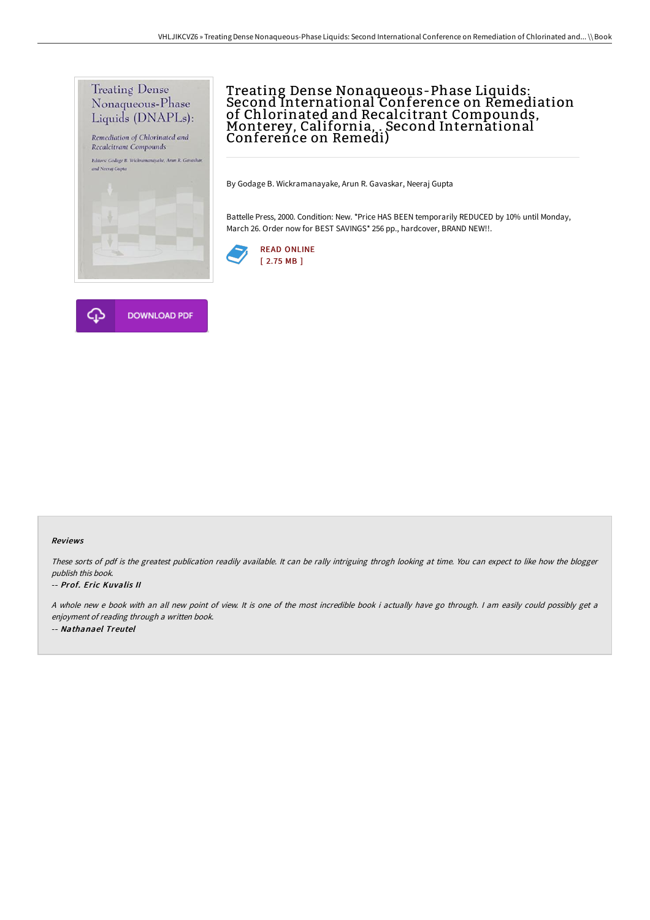

# Treating Dense Nonaqueous-Phase Liquids: Second International Conference on Remediation of Chlorinated and Recalcitrant Compounds,<br>Monterey, California, . Second International Conference on Remedi)

By Godage B. Wickramanayake, Arun R. Gavaskar, Neeraj Gupta

Battelle Press, 2000. Condition: New. \*Price HAS BEEN temporarily REDUCED by 10% until Monday, March 26. Order now for BEST SAVINGS\* 256 pp., hardcover, BRAND NEW!!.





#### Reviews

These sorts of pdf is the greatest publication readily available. It can be rally intriguing throgh looking at time. You can expect to like how the blogger publish this book.

#### -- Prof. Eric Kuvalis II

<sup>A</sup> whole new <sup>e</sup> book with an all new point of view. It is one of the most incredible book i actually have go through. <sup>I</sup> am easily could possibly get <sup>a</sup> enjoyment of reading through <sup>a</sup> written book. -- Nathanael Treutel